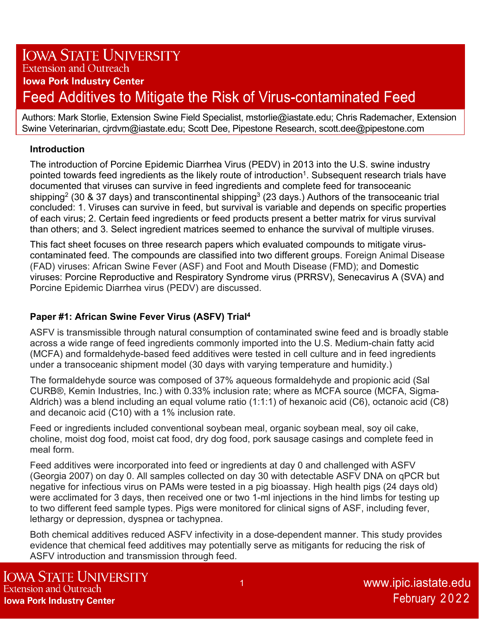# **IOWA STATE UNIVERSITY Extension and Outreach Iowa Pork Industry Center** Feed Additives to Mitigate the Risk of Virus-contaminated Feed

Authors: Mark Storlie, Extension Swine Field Specialist, mstorlie@iastate.edu; Chris Rademacher, Extension Swine Veterinarian, cjrdvm@iastate.edu; Scott Dee, Pipestone Research, scott.dee@pipestone.com

#### **Introduction**

The introduction of Porcine Epidemic Diarrhea Virus (PEDV) in 2013 into the U.S. swine industry pointed towards feed ingredients as the likely route of introduction<sup>1</sup>. Subsequent research trials have documented that viruses can survive in feed ingredients and complete feed for transoceanic shipping<sup>2</sup> (30 & 37 days) and transcontinental shipping<sup>3</sup> (23 days.) Authors of the transoceanic trial concluded: 1. Viruses can survive in feed, but survival is variable and depends on specific properties of each virus; 2. Certain feed ingredients or feed products present a better matrix for virus survival than others; and 3. Select ingredient matrices seemed to enhance the survival of multiple viruses.

This fact sheet focuses on three research papers which evaluated compounds to mitigate viruscontaminated feed. The compounds are classified into two different groups. Foreign Animal Disease (FAD) viruses: African Swine Fever (ASF) and Foot and Mouth Disease (FMD); and Domestic viruses: Porcine Reproductive and Respiratory Syndrome virus (PRRSV), Senecavirus A (SVA) and Porcine Epidemic Diarrhea virus (PEDV) are discussed.

# **Paper #1: African Swine Fever Virus (ASFV) Trial4**

ASFV is transmissible through natural consumption of contaminated swine feed and is broadly stable across a wide range of feed ingredients commonly imported into the U.S. Medium-chain fatty acid (MCFA) and formaldehyde-based feed additives were tested in cell culture and in feed ingredients under a transoceanic shipment model (30 days with varying temperature and humidity.)

The formaldehyde source was composed of 37% aqueous formaldehyde and propionic acid (Sal CURB®, Kemin Industries, Inc.) with 0.33% inclusion rate; where as MCFA source (MCFA, Sigma-Aldrich) was a blend including an equal volume ratio (1:1:1) of hexanoic acid (C6), octanoic acid (C8) and decanoic acid (C10) with a 1% inclusion rate.

Feed or ingredients included conventional soybean meal, organic soybean meal, soy oil cake, choline, moist dog food, moist cat food, dry dog food, pork sausage casings and complete feed in meal form.

Feed additives were incorporated into feed or ingredients at day 0 and challenged with ASFV (Georgia 2007) on day 0. All samples collected on day 30 with detectable ASFV DNA on qPCR but negative for infectious virus on PAMs were tested in a pig bioassay. High health pigs (24 days old) were acclimated for 3 days, then received one or two 1-ml injections in the hind limbs for testing up to two different feed sample types. Pigs were monitored for clinical signs of ASF, including fever, lethargy or depression, dyspnea or tachypnea.

Both chemical additives reduced ASFV infectivity in a dose-dependent manner. This study provides evidence that chemical feed additives may potentially serve as mitigants for reducing the risk of ASFV introduction and transmission through feed.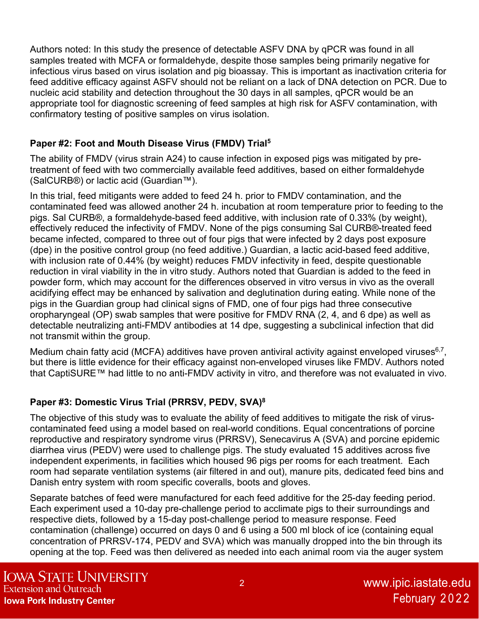Authors noted: In this study the presence of detectable ASFV DNA by qPCR was found in all samples treated with MCFA or formaldehyde, despite those samples being primarily negative for infectious virus based on virus isolation and pig bioassay. This is important as inactivation criteria for feed additive efficacy against ASFV should not be reliant on a lack of DNA detection on PCR. Due to nucleic acid stability and detection throughout the 30 days in all samples, qPCR would be an appropriate tool for diagnostic screening of feed samples at high risk for ASFV contamination, with confirmatory testing of positive samples on virus isolation.

### **Paper #2: Foot and Mouth Disease Virus (FMDV) Trial5**

The ability of FMDV (virus strain A24) to cause infection in exposed pigs was mitigated by pretreatment of feed with two commercially available feed additives, based on either formaldehyde (SalCURB®) or lactic acid (Guardian™).

In this trial, feed mitigants were added to feed 24 h. prior to FMDV contamination, and the contaminated feed was allowed another 24 h. incubation at room temperature prior to feeding to the pigs. Sal CURB®, a formaldehyde-based feed additive, with inclusion rate of 0.33% (by weight), effectively reduced the infectivity of FMDV. None of the pigs consuming Sal CURB®-treated feed became infected, compared to three out of four pigs that were infected by 2 days post exposure (dpe) in the positive control group (no feed additive.) Guardian, a lactic acid-based feed additive, with inclusion rate of 0.44% (by weight) reduces FMDV infectivity in feed, despite questionable reduction in viral viability in the in vitro study. Authors noted that Guardian is added to the feed in powder form, which may account for the differences observed in vitro versus in vivo as the overall acidifying effect may be enhanced by salivation and deglutination during eating. While none of the pigs in the Guardian group had clinical signs of FMD, one of four pigs had three consecutive oropharyngeal (OP) swab samples that were positive for FMDV RNA (2, 4, and 6 dpe) as well as detectable neutralizing anti-FMDV antibodies at 14 dpe, suggesting a subclinical infection that did not transmit within the group.

Medium chain fatty acid (MCFA) additives have proven antiviral activity against enveloped viruses $6,7$ , but there is little evidence for their efficacy against non-enveloped viruses like FMDV. Authors noted that CaptiSURE™ had little to no anti-FMDV activity in vitro, and therefore was not evaluated in vivo.

# **Paper #3: Domestic Virus Trial (PRRSV, PEDV, SVA)8**

The objective of this study was to evaluate the ability of feed additives to mitigate the risk of viruscontaminated feed using a model based on real-world conditions. Equal concentrations of porcine reproductive and respiratory syndrome virus (PRRSV), Senecavirus A (SVA) and porcine epidemic diarrhea virus (PEDV) were used to challenge pigs. The study evaluated 15 additives across five independent experiments, in facilities which housed 96 pigs per rooms for each treatment. Each room had separate ventilation systems (air filtered in and out), manure pits, dedicated feed bins and Danish entry system with room specific coveralls, boots and gloves.

Separate batches of feed were manufactured for each feed additive for the 25-day feeding period. Each experiment used a 10-day pre-challenge period to acclimate pigs to their surroundings and respective diets, followed by a 15-day post-challenge period to measure response. Feed contamination (challenge) occurred on days 0 and 6 using a 500 ml block of ice (containing equal concentration of PRRSV-174, PEDV and SVA) which was manually dropped into the bin through its opening at the top. Feed was then delivered as needed into each animal room via the auger system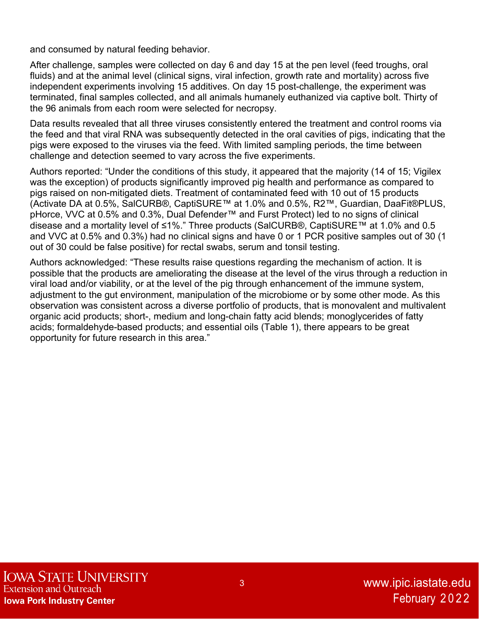and consumed by natural feeding behavior.

After challenge, samples were collected on day 6 and day 15 at the pen level (feed troughs, oral fluids) and at the animal level (clinical signs, viral infection, growth rate and mortality) across five independent experiments involving 15 additives. On day 15 post-challenge, the experiment was terminated, final samples collected, and all animals humanely euthanized via captive bolt. Thirty of the 96 animals from each room were selected for necropsy.

Data results revealed that all three viruses consistently entered the treatment and control rooms via the feed and that viral RNA was subsequently detected in the oral cavities of pigs, indicating that the pigs were exposed to the viruses via the feed. With limited sampling periods, the time between challenge and detection seemed to vary across the five experiments.

Authors reported: "Under the conditions of this study, it appeared that the majority (14 of 15; Vigilex was the exception) of products significantly improved pig health and performance as compared to pigs raised on non-mitigated diets. Treatment of contaminated feed with 10 out of 15 products (Activate DA at 0.5%, SalCURB®, CaptiSURE™ at 1.0% and 0.5%, R2™, Guardian, DaaFit®PLUS, pHorce, VVC at 0.5% and 0.3%, Dual Defender™ and Furst Protect) led to no signs of clinical disease and a mortality level of ≤1%." Three products (SalCURB®, CaptiSURE™ at 1.0% and 0.5 and VVC at 0.5% and 0.3%) had no clinical signs and have 0 or 1 PCR positive samples out of 30 (1 out of 30 could be false positive) for rectal swabs, serum and tonsil testing.

Authors acknowledged: "These results raise questions regarding the mechanism of action. It is possible that the products are ameliorating the disease at the level of the virus through a reduction in viral load and/or viability, or at the level of the pig through enhancement of the immune system, adjustment to the gut environment, manipulation of the microbiome or by some other mode. As this observation was consistent across a diverse portfolio of products, that is monovalent and multivalent organic acid products; short-, medium and long-chain fatty acid blends; monoglycerides of fatty acids; formaldehyde-based products; and essential oils (Table 1), there appears to be great opportunity for future research in this area."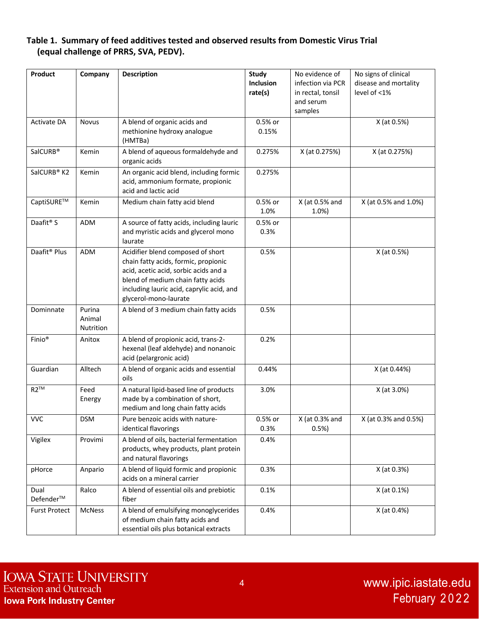#### **Table 1. Summary of feed additives tested and observed results from Domestic Virus Trial (equal challenge of PRRS, SVA, PEDV).**

| <b>Product</b>           | Company                              | <b>Description</b>                                                                                                                                                                                                            | <b>Study</b><br>Inclusion<br>rate(s) | No evidence of<br>infection via PCR<br>in rectal, tonsil<br>and serum<br>samples | No signs of clinical<br>disease and mortality<br>level of $<$ 1% |
|--------------------------|--------------------------------------|-------------------------------------------------------------------------------------------------------------------------------------------------------------------------------------------------------------------------------|--------------------------------------|----------------------------------------------------------------------------------|------------------------------------------------------------------|
| <b>Activate DA</b>       | <b>Novus</b>                         | A blend of organic acids and<br>methionine hydroxy analogue<br>(HMTBa)                                                                                                                                                        | 0.5% or<br>0.15%                     |                                                                                  | X (at 0.5%)                                                      |
| SalCURB <sup>®</sup>     | Kemin                                | A blend of aqueous formaldehyde and<br>organic acids                                                                                                                                                                          | 0.275%                               | X (at 0.275%)                                                                    | X (at 0.275%)                                                    |
| SalCURB <sup>®</sup> K2  | Kemin                                | An organic acid blend, including formic<br>acid, ammonium formate, propionic<br>acid and lactic acid                                                                                                                          | 0.275%                               |                                                                                  |                                                                  |
| CaptiSURE™               | Kemin                                | Medium chain fatty acid blend                                                                                                                                                                                                 | 0.5% or<br>1.0%                      | X (at 0.5% and<br>1.0%                                                           | X (at 0.5% and 1.0%)                                             |
| Daafit <sup>®</sup> S    | <b>ADM</b>                           | A source of fatty acids, including lauric<br>and myristic acids and glycerol mono<br>laurate                                                                                                                                  | 0.5% or<br>0.3%                      |                                                                                  |                                                                  |
| Daafit <sup>®</sup> Plus | ADM                                  | Acidifier blend composed of short<br>chain fatty acids, formic, propionic<br>acid, acetic acid, sorbic acids and a<br>blend of medium chain fatty acids<br>including lauric acid, caprylic acid, and<br>glycerol-mono-laurate | 0.5%                                 |                                                                                  | X (at 0.5%)                                                      |
| Dominnate                | Purina<br>Animal<br><b>Nutrition</b> | A blend of 3 medium chain fatty acids                                                                                                                                                                                         | 0.5%                                 |                                                                                  |                                                                  |
| Finio <sup>®</sup>       | Anitox                               | A blend of propionic acid, trans-2-<br>hexenal (leaf aldehyde) and nonanoic<br>acid (pelargronic acid)                                                                                                                        | 0.2%                                 |                                                                                  |                                                                  |
| Guardian                 | Alltech                              | A blend of organic acids and essential<br>oils                                                                                                                                                                                | 0.44%                                |                                                                                  | X (at 0.44%)                                                     |
| $R2^{TM}$                | Feed<br>Energy                       | A natural lipid-based line of products<br>made by a combination of short,<br>medium and long chain fatty acids                                                                                                                | 3.0%                                 |                                                                                  | X (at 3.0%)                                                      |
| <b>VVC</b>               | <b>DSM</b>                           | Pure benzoic acids with nature-<br>identical flavorings                                                                                                                                                                       | 0.5% or<br>0.3%                      | $X$ (at 0.3% and<br>0.5%                                                         | X (at 0.3% and 0.5%)                                             |
| Vigilex                  | Provimi                              | A blend of oils, bacterial fermentation<br>products, whey products, plant protein<br>and natural flavorings                                                                                                                   | 0.4%                                 |                                                                                  |                                                                  |
| pHorce                   | Anpario                              | A blend of liquid formic and propionic<br>acids on a mineral carrier                                                                                                                                                          | 0.3%                                 |                                                                                  | X (at 0.3%)                                                      |
| Dual<br>Defender™        | Ralco                                | A blend of essential oils and prebiotic<br>fiber                                                                                                                                                                              | 0.1%                                 |                                                                                  | X (at 0.1%)                                                      |
| <b>Furst Protect</b>     | <b>McNess</b>                        | A blend of emulsifying monoglycerides<br>of medium chain fatty acids and<br>essential oils plus botanical extracts                                                                                                            | 0.4%                                 |                                                                                  | X (at 0.4%)                                                      |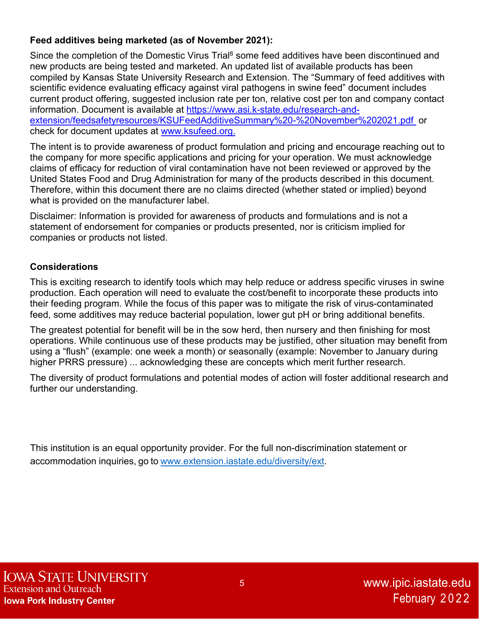#### **Feed additives being marketed (as of November 2021):**

Since the completion of the Domestic Virus Trial<sup>8</sup> some feed additives have been discontinued and new products are being tested and marketed. An updated list of available products has been compiled by Kansas State University Research and Extension. The "Summary of feed additives with scientific evidence evaluating efficacy against viral pathogens in swine feed" document includes current product offering, suggested inclusion rate per ton, relative cost per ton and company contact information. Document is available at https://www.asi.k-state.edu/research-andextension/feedsafetyresources/KSUFeedAdditiveSummary%20-%20November%202021.pdf or check for document updates at www.ksufeed.org.

The intent is to provide awareness of product formulation and pricing and encourage reaching out to the company for more specific applications and pricing for your operation. We must acknowledge claims of efficacy for reduction of viral contamination have not been reviewed or approved by the United States Food and Drug Administration for many of the products described in this document. Therefore, within this document there are no claims directed (whether stated or implied) beyond what is provided on the manufacturer label.

Disclaimer: Information is provided for awareness of products and formulations and is not a statement of endorsement for companies or products presented, nor is criticism implied for companies or products not listed.

#### **Considerations**

This is exciting research to identify tools which may help reduce or address specific viruses in swine production. Each operation will need to evaluate the cost/benefit to incorporate these products into their feeding program. While the focus of this paper was to mitigate the risk of virus-contaminated feed, some additives may reduce bacterial population, lower gut pH or bring additional benefits.

The greatest potential for benefit will be in the sow herd, then nursery and then finishing for most operations. While continuous use of these products may be justified, other situation may benefit from using a "flush" (example: one week a month) or seasonally (example: November to January during higher PRRS pressure) ... acknowledging these are concepts which merit further research.

The diversity of product formulations and potential modes of action will foster additional research and further our understanding.

This institution is an equal opportunity provider. For the full non-discrimination statement or accommodation inquiries, go to www.extension.iastate.edu/diversity/ext.